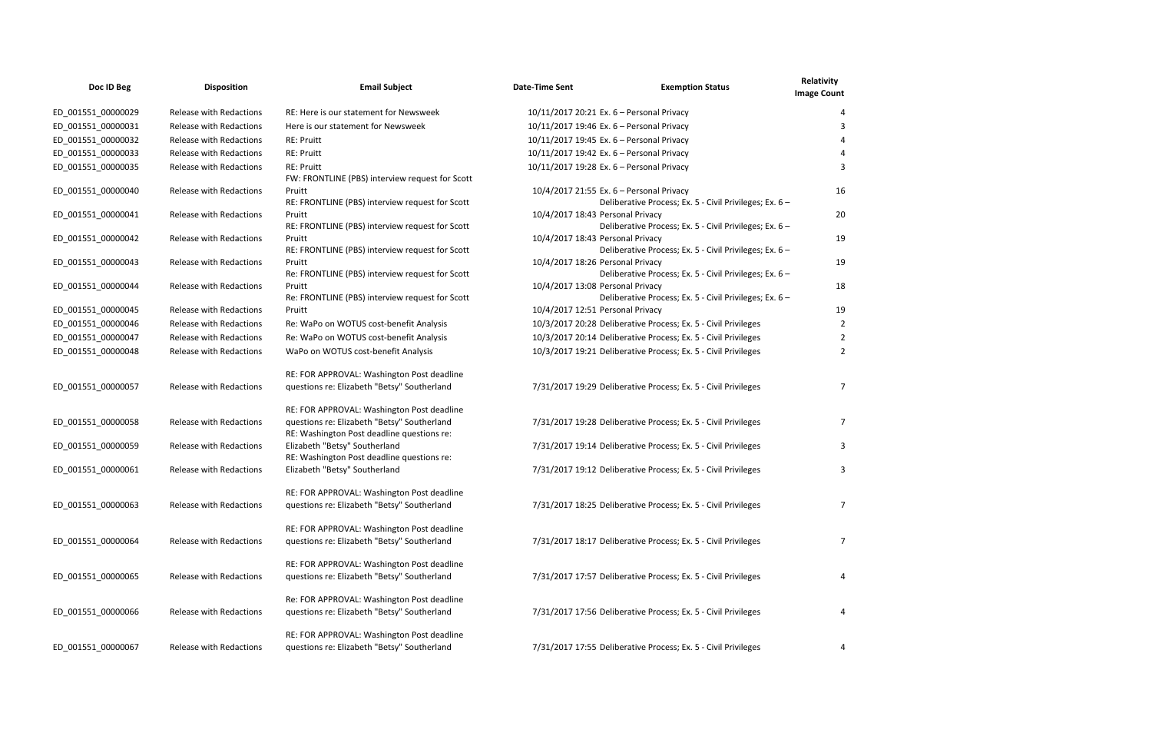| Doc ID Beg         | <b>Disposition</b>             | <b>Email Subject</b>                                                                      | <b>Date-Time Sent</b>            | <b>Exemption Status</b>                                                                             | Relativity<br><b>Image Count</b> |
|--------------------|--------------------------------|-------------------------------------------------------------------------------------------|----------------------------------|-----------------------------------------------------------------------------------------------------|----------------------------------|
| ED_001551_00000029 | Release with Redactions        | RE: Here is our statement for Newsweek                                                    |                                  | 10/11/2017 20:21 Ex. 6 - Personal Privacy                                                           |                                  |
| ED_001551_00000031 | <b>Release with Redactions</b> | Here is our statement for Newsweek                                                        |                                  | 10/11/2017 19:46 Ex. 6 - Personal Privacy                                                           |                                  |
| ED_001551_00000032 | Release with Redactions        | <b>RE: Pruitt</b>                                                                         |                                  | 10/11/2017 19:45 Ex. 6 - Personal Privacy                                                           |                                  |
| ED_001551_00000033 | Release with Redactions        | <b>RE: Pruitt</b>                                                                         |                                  | 10/11/2017 19:42 Ex. 6 - Personal Privacy                                                           |                                  |
| ED_001551_00000035 | Release with Redactions        | <b>RE: Pruitt</b><br>FW: FRONTLINE (PBS) interview request for Scott                      |                                  | 10/11/2017 19:28 Ex. 6 - Personal Privacy                                                           |                                  |
| ED_001551_00000040 | Release with Redactions        | Pruitt<br>RE: FRONTLINE (PBS) interview request for Scott                                 |                                  | 10/4/2017 21:55 Ex. 6 - Personal Privacy<br>Deliberative Process; Ex. 5 - Civil Privileges; Ex. 6 - | 16                               |
| ED_001551_00000041 | <b>Release with Redactions</b> | Pruitt<br>RE: FRONTLINE (PBS) interview request for Scott                                 | 10/4/2017 18:43 Personal Privacy | Deliberative Process; Ex. 5 - Civil Privileges; Ex. 6 -                                             | 20                               |
| ED_001551_00000042 | Release with Redactions        | Pruitt<br>RE: FRONTLINE (PBS) interview request for Scott                                 | 10/4/2017 18:43 Personal Privacy | Deliberative Process; Ex. 5 - Civil Privileges; Ex. 6 -                                             | 19                               |
| ED_001551_00000043 | <b>Release with Redactions</b> | Pruitt<br>Re: FRONTLINE (PBS) interview request for Scott                                 | 10/4/2017 18:26 Personal Privacy | Deliberative Process; Ex. 5 - Civil Privileges; Ex. 6 -                                             | 19                               |
| ED_001551_00000044 | Release with Redactions        | Pruitt<br>Re: FRONTLINE (PBS) interview request for Scott                                 | 10/4/2017 13:08 Personal Privacy | Deliberative Process; Ex. 5 - Civil Privileges; Ex. 6 -                                             | 18                               |
| ED_001551_00000045 | <b>Release with Redactions</b> | Pruitt                                                                                    | 10/4/2017 12:51 Personal Privacy |                                                                                                     | 19                               |
| ED_001551_00000046 | Release with Redactions        | Re: WaPo on WOTUS cost-benefit Analysis                                                   |                                  | 10/3/2017 20:28 Deliberative Process; Ex. 5 - Civil Privileges                                      |                                  |
| ED_001551_00000047 | <b>Release with Redactions</b> | Re: WaPo on WOTUS cost-benefit Analysis                                                   |                                  | 10/3/2017 20:14 Deliberative Process; Ex. 5 - Civil Privileges                                      | 2                                |
| ED_001551_00000048 | <b>Release with Redactions</b> | WaPo on WOTUS cost-benefit Analysis                                                       |                                  | 10/3/2017 19:21 Deliberative Process; Ex. 5 - Civil Privileges                                      |                                  |
| ED_001551_00000057 | Release with Redactions        | RE: FOR APPROVAL: Washington Post deadline<br>questions re: Elizabeth "Betsy" Southerland |                                  | 7/31/2017 19:29 Deliberative Process; Ex. 5 - Civil Privileges                                      |                                  |
| ED_001551_00000058 | Release with Redactions        | RE: FOR APPROVAL: Washington Post deadline<br>questions re: Elizabeth "Betsy" Southerland |                                  | 7/31/2017 19:28 Deliberative Process; Ex. 5 - Civil Privileges                                      |                                  |
|                    |                                | RE: Washington Post deadline questions re:                                                |                                  |                                                                                                     |                                  |
| ED_001551_00000059 | Release with Redactions        | Elizabeth "Betsy" Southerland<br>RE: Washington Post deadline questions re:               |                                  | 7/31/2017 19:14 Deliberative Process; Ex. 5 - Civil Privileges                                      |                                  |
| ED_001551_00000061 | <b>Release with Redactions</b> | Elizabeth "Betsy" Southerland                                                             |                                  | 7/31/2017 19:12 Deliberative Process; Ex. 5 - Civil Privileges                                      |                                  |
| ED_001551_00000063 | Release with Redactions        | RE: FOR APPROVAL: Washington Post deadline<br>questions re: Elizabeth "Betsy" Southerland |                                  | 7/31/2017 18:25 Deliberative Process; Ex. 5 - Civil Privileges                                      | 7                                |
| ED 001551 00000064 | Release with Redactions        | RE: FOR APPROVAL: Washington Post deadline<br>questions re: Elizabeth "Betsy" Southerland |                                  | 7/31/2017 18:17 Deliberative Process; Ex. 5 - Civil Privileges                                      | 7                                |
| ED_001551_00000065 | Release with Redactions        | RE: FOR APPROVAL: Washington Post deadline<br>questions re: Elizabeth "Betsy" Southerland |                                  | 7/31/2017 17:57 Deliberative Process; Ex. 5 - Civil Privileges                                      |                                  |
| ED_001551_00000066 | Release with Redactions        | Re: FOR APPROVAL: Washington Post deadline<br>questions re: Elizabeth "Betsy" Southerland |                                  | 7/31/2017 17:56 Deliberative Process; Ex. 5 - Civil Privileges                                      | 4                                |
| ED_001551_00000067 | Release with Redactions        | RE: FOR APPROVAL: Washington Post deadline<br>questions re: Elizabeth "Betsy" Southerland |                                  | 7/31/2017 17:55 Deliberative Process; Ex. 5 - Civil Privileges                                      | 4                                |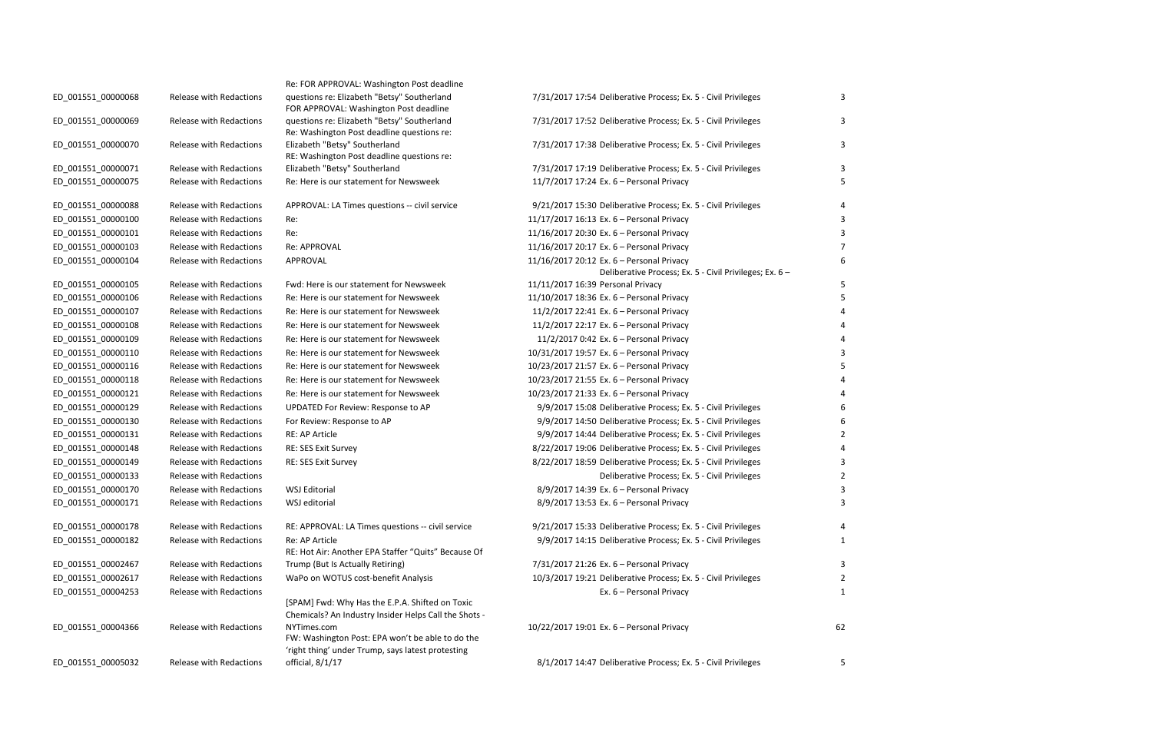| Re: FOR APPROVAL: Washington Post deadline<br>questions re: Elizabeth "Betsy" Southerland<br>FOR APPROVAL: Washington Post deadline<br>questions re: Elizabeth "Betsy" Southerland<br>Re: Washington Post deadline questions re:<br>Elizabeth "Betsy" Southerland<br>RE: Washington Post deadline questions re:<br>Elizabeth "Betsy" Southerland<br>Re: Here is our statement for Newsweek |
|--------------------------------------------------------------------------------------------------------------------------------------------------------------------------------------------------------------------------------------------------------------------------------------------------------------------------------------------------------------------------------------------|
|                                                                                                                                                                                                                                                                                                                                                                                            |
| APPROVAL: LA Times questions -- civil service<br>Re:                                                                                                                                                                                                                                                                                                                                       |
| Re:                                                                                                                                                                                                                                                                                                                                                                                        |
| <b>Re: APPROVAL</b>                                                                                                                                                                                                                                                                                                                                                                        |
| APPROVAL                                                                                                                                                                                                                                                                                                                                                                                   |
| Fwd: Here is our statement for Newsweek                                                                                                                                                                                                                                                                                                                                                    |
| Re: Here is our statement for Newsweek                                                                                                                                                                                                                                                                                                                                                     |
| Re: Here is our statement for Newsweek                                                                                                                                                                                                                                                                                                                                                     |
| Re: Here is our statement for Newsweek                                                                                                                                                                                                                                                                                                                                                     |
| Re: Here is our statement for Newsweek                                                                                                                                                                                                                                                                                                                                                     |
| Re: Here is our statement for Newsweek                                                                                                                                                                                                                                                                                                                                                     |
| Re: Here is our statement for Newsweek                                                                                                                                                                                                                                                                                                                                                     |
| Re: Here is our statement for Newsweek                                                                                                                                                                                                                                                                                                                                                     |
| Re: Here is our statement for Newsweek                                                                                                                                                                                                                                                                                                                                                     |
| UPDATED For Review: Response to AP                                                                                                                                                                                                                                                                                                                                                         |
| For Review: Response to AP                                                                                                                                                                                                                                                                                                                                                                 |
| RE: AP Article                                                                                                                                                                                                                                                                                                                                                                             |
| RE: SES Exit Survey                                                                                                                                                                                                                                                                                                                                                                        |
| RE: SES Exit Survey                                                                                                                                                                                                                                                                                                                                                                        |
| <b>WSJ Editorial</b>                                                                                                                                                                                                                                                                                                                                                                       |
| WSJ editorial                                                                                                                                                                                                                                                                                                                                                                              |
| RE: APPROVAL: LA Times questions -- civil service                                                                                                                                                                                                                                                                                                                                          |
| Re: AP Article                                                                                                                                                                                                                                                                                                                                                                             |
| RE: Hot Air: Another EPA Staffer "Quits" Because Of                                                                                                                                                                                                                                                                                                                                        |
| Trump (But Is Actually Retiring)                                                                                                                                                                                                                                                                                                                                                           |
| WaPo on WOTUS cost-benefit Analysis                                                                                                                                                                                                                                                                                                                                                        |

|                    |                                | Re: FOR APPROVAL: Washington Post deadline                                            |                  |
|--------------------|--------------------------------|---------------------------------------------------------------------------------------|------------------|
| ED_001551_00000068 | Release with Redactions        | questions re: Elizabeth "Betsy" Southerland                                           | 7/31/2017 17:54  |
| ED_001551_00000069 | Release with Redactions        | FOR APPROVAL: Washington Post deadline<br>questions re: Elizabeth "Betsy" Southerland | 7/31/2017 17:52  |
|                    |                                | Re: Washington Post deadline questions re:                                            |                  |
| ED_001551_00000070 | Release with Redactions        | Elizabeth "Betsy" Southerland                                                         | 7/31/2017 17:38  |
|                    |                                | RE: Washington Post deadline questions re:                                            |                  |
| ED_001551_00000071 | <b>Release with Redactions</b> | Elizabeth "Betsy" Southerland                                                         | 7/31/2017 17:19  |
| ED_001551_00000075 | Release with Redactions        | Re: Here is our statement for Newsweek                                                | 11/7/2017 17:24  |
| ED_001551_00000088 | Release with Redactions        | APPROVAL: LA Times questions -- civil service                                         | 9/21/2017 15:30  |
| ED 001551 00000100 | Release with Redactions        | Re:                                                                                   | 11/17/2017 16:13 |
| ED_001551_00000101 | Release with Redactions        | Re:                                                                                   | 11/16/2017 20:30 |
| ED_001551_00000103 | Release with Redactions        | <b>Re: APPROVAL</b>                                                                   | 11/16/2017 20:17 |
| ED_001551_00000104 | Release with Redactions        | APPROVAL                                                                              | 11/16/2017 20:12 |
| ED_001551_00000105 | Release with Redactions        | Fwd: Here is our statement for Newsweek                                               | 11/11/2017 16:39 |
| ED_001551_00000106 | Release with Redactions        | Re: Here is our statement for Newsweek                                                | 11/10/2017 18:36 |
| ED 001551 00000107 | <b>Release with Redactions</b> | Re: Here is our statement for Newsweek                                                | 11/2/2017 22:41  |
| ED_001551_00000108 | <b>Release with Redactions</b> | Re: Here is our statement for Newsweek                                                | 11/2/2017 22:17  |
| ED_001551_00000109 | <b>Release with Redactions</b> | Re: Here is our statement for Newsweek                                                | 11/2/2017 0:42   |
| ED 001551 00000110 | Release with Redactions        | Re: Here is our statement for Newsweek                                                | 10/31/2017 19:57 |
| ED_001551_00000116 | Release with Redactions        | Re: Here is our statement for Newsweek                                                | 10/23/2017 21:57 |
| ED_001551_00000118 | Release with Redactions        | Re: Here is our statement for Newsweek                                                | 10/23/2017 21:55 |
| ED_001551_00000121 | Release with Redactions        | Re: Here is our statement for Newsweek                                                | 10/23/2017 21:33 |
| ED_001551_00000129 | Release with Redactions        | UPDATED For Review: Response to AP                                                    | 9/9/2017 15:08   |
| ED_001551_00000130 | Release with Redactions        | For Review: Response to AP                                                            | 9/9/2017 14:50   |
| ED_001551_00000131 | Release with Redactions        | <b>RE: AP Article</b>                                                                 | 9/9/2017 14:44   |
| ED_001551_00000148 | Release with Redactions        | RE: SES Exit Survey                                                                   | 8/22/2017 19:06  |
| ED_001551_00000149 | <b>Release with Redactions</b> | RE: SES Exit Survey                                                                   | 8/22/2017 18:59  |
| ED_001551_00000133 | Release with Redactions        |                                                                                       |                  |
| ED_001551_00000170 | Release with Redactions        | <b>WSJ Editorial</b>                                                                  | 8/9/2017 14:39   |
| ED_001551_00000171 | <b>Release with Redactions</b> | WSJ editorial                                                                         | 8/9/2017 13:53   |
| ED_001551_00000178 | Release with Redactions        | RE: APPROVAL: LA Times questions -- civil service                                     | 9/21/2017 15:33  |
| ED_001551_00000182 | <b>Release with Redactions</b> | Re: AP Article                                                                        | 9/9/2017 14:15   |
|                    |                                | RE: Hot Air: Another EPA Staffer "Quits" Because Of                                   |                  |
| ED 001551 00002467 | Release with Redactions        | Trump (But Is Actually Retiring)                                                      | 7/31/2017 21:26  |
| ED 001551 00002617 | Release with Redactions        | WaPo on WOTUS cost-benefit Analysis                                                   | 10/3/2017 19:21  |
| ED 001551 00004253 | <b>Release with Redactions</b> |                                                                                       |                  |
|                    |                                | [SPAM] Fwd: Why Has the E.P.A. Shifted on Toxic                                       |                  |
|                    |                                | Chemicals? An Industry Insider Helps Call the Shots -                                 |                  |
| ED_001551_00004366 | Release with Redactions        | NYTimes.com<br>FW: Washington Post: EPA won't be able to do the                       | 10/22/2017 19:01 |
|                    |                                | 'right thing' under Trump, says latest protesting                                     |                  |
| ED_001551_00005032 | Release with Redactions        | official, 8/1/17                                                                      | 8/1/2017 14:47   |
|                    |                                |                                                                                       |                  |

| ED 001551 00000068 | Release with Redactions        | questions re: Elizabeth "Betsy" Southerland<br>FOR APPROVAL: Washington Post deadline                                | 7/31/2017 17:54 Deliberative Process; Ex. 5 - Civil Privileges                                       | 3  |
|--------------------|--------------------------------|----------------------------------------------------------------------------------------------------------------------|------------------------------------------------------------------------------------------------------|----|
| ED_001551_00000069 | Release with Redactions        | questions re: Elizabeth "Betsy" Southerland<br>Re: Washington Post deadline questions re:                            | 7/31/2017 17:52 Deliberative Process; Ex. 5 - Civil Privileges                                       | 3  |
| ED 001551 00000070 | Release with Redactions        | Elizabeth "Betsy" Southerland<br>RE: Washington Post deadline questions re:                                          | 7/31/2017 17:38 Deliberative Process; Ex. 5 - Civil Privileges                                       | 3  |
| ED_001551_00000071 | Release with Redactions        | Elizabeth "Betsy" Southerland                                                                                        | 7/31/2017 17:19 Deliberative Process; Ex. 5 - Civil Privileges                                       | 3  |
| ED_001551_00000075 | Release with Redactions        | Re: Here is our statement for Newsweek                                                                               | 11/7/2017 17:24 Ex. 6 - Personal Privacy                                                             | 5  |
| ED_001551_00000088 | Release with Redactions        | APPROVAL: LA Times questions -- civil service                                                                        | 9/21/2017 15:30 Deliberative Process; Ex. 5 - Civil Privileges                                       |    |
| ED 001551 00000100 | Release with Redactions        | Re:                                                                                                                  | 11/17/2017 16:13 Ex. 6 - Personal Privacy                                                            | 3  |
| ED_001551_00000101 | Release with Redactions        | Re:                                                                                                                  | 11/16/2017 20:30 Ex. 6 - Personal Privacy                                                            | 3  |
| ED_001551_00000103 | Release with Redactions        | Re: APPROVAL                                                                                                         | 11/16/2017 20:17 Ex. 6 - Personal Privacy                                                            |    |
| ED_001551_00000104 | Release with Redactions        | APPROVAL                                                                                                             | 11/16/2017 20:12 Ex. 6 - Personal Privacy<br>Deliberative Process; Ex. 5 - Civil Privileges; Ex. 6 - | 6  |
| ED 001551 00000105 | Release with Redactions        | Fwd: Here is our statement for Newsweek                                                                              | 11/11/2017 16:39 Personal Privacy                                                                    | -5 |
| ED_001551_00000106 | <b>Release with Redactions</b> | Re: Here is our statement for Newsweek                                                                               | 11/10/2017 18:36 Ex. 6 - Personal Privacy                                                            | -5 |
| ED_001551_00000107 | Release with Redactions        | Re: Here is our statement for Newsweek                                                                               | 11/2/2017 22:41 Ex. 6 - Personal Privacy                                                             |    |
| ED_001551_00000108 | Release with Redactions        | Re: Here is our statement for Newsweek                                                                               | 11/2/2017 22:17 Ex. 6 - Personal Privacy                                                             |    |
| ED_001551_00000109 | Release with Redactions        | Re: Here is our statement for Newsweek                                                                               | 11/2/2017 0:42 Ex. 6 - Personal Privacy                                                              |    |
| ED_001551_00000110 | Release with Redactions        | Re: Here is our statement for Newsweek                                                                               | 10/31/2017 19:57 Ex. 6 - Personal Privacy                                                            |    |
| ED_001551_00000116 | Release with Redactions        | Re: Here is our statement for Newsweek                                                                               | 10/23/2017 21:57 Ex. 6 - Personal Privacy                                                            | -5 |
| ED_001551_00000118 | Release with Redactions        | Re: Here is our statement for Newsweek                                                                               | 10/23/2017 21:55 Ex. 6 - Personal Privacy                                                            |    |
| ED_001551_00000121 | Release with Redactions        | Re: Here is our statement for Newsweek                                                                               | 10/23/2017 21:33 Ex. 6 - Personal Privacy                                                            |    |
| ED_001551_00000129 | Release with Redactions        | UPDATED For Review: Response to AP                                                                                   | 9/9/2017 15:08 Deliberative Process; Ex. 5 - Civil Privileges                                        | 6  |
| ED_001551_00000130 | Release with Redactions        | For Review: Response to AP                                                                                           | 9/9/2017 14:50 Deliberative Process; Ex. 5 - Civil Privileges                                        | 6  |
| ED_001551_00000131 | Release with Redactions        | RE: AP Article                                                                                                       | 9/9/2017 14:44 Deliberative Process; Ex. 5 - Civil Privileges                                        | 2  |
| ED_001551_00000148 | Release with Redactions        | RE: SES Exit Survey                                                                                                  | 8/22/2017 19:06 Deliberative Process; Ex. 5 - Civil Privileges                                       |    |
| ED_001551_00000149 | Release with Redactions        | RE: SES Exit Survey                                                                                                  | 8/22/2017 18:59 Deliberative Process; Ex. 5 - Civil Privileges                                       | 3  |
| ED_001551_00000133 | Release with Redactions        |                                                                                                                      | Deliberative Process; Ex. 5 - Civil Privileges                                                       | 2  |
| ED_001551_00000170 | <b>Release with Redactions</b> | WSJ Editorial                                                                                                        | 8/9/2017 14:39 Ex. 6 - Personal Privacy                                                              | 3  |
| ED_001551_00000171 | Release with Redactions        | WSJ editorial                                                                                                        | 8/9/2017 13:53 Ex. 6 - Personal Privacy                                                              | 3  |
| ED_001551_00000178 | Release with Redactions        | RE: APPROVAL: LA Times questions -- civil service                                                                    | 9/21/2017 15:33 Deliberative Process; Ex. 5 - Civil Privileges                                       | 4  |
| ED_001551_00000182 | Release with Redactions        | Re: AP Article                                                                                                       | 9/9/2017 14:15 Deliberative Process; Ex. 5 - Civil Privileges                                        | -1 |
|                    |                                | RE: Hot Air: Another EPA Staffer "Quits" Because Of                                                                  |                                                                                                      |    |
| ED_001551_00002467 | Release with Redactions        | Trump (But Is Actually Retiring)                                                                                     | 7/31/2017 21:26 Ex. 6 - Personal Privacy                                                             | 3  |
| ED_001551_00002617 | Release with Redactions        | WaPo on WOTUS cost-benefit Analysis                                                                                  | 10/3/2017 19:21 Deliberative Process; Ex. 5 - Civil Privileges                                       | 2  |
| ED_001551_00004253 | Release with Redactions        | [SPAM] Fwd: Why Has the E.P.A. Shifted on Toxic<br>Chemicals? An Industry Insider Helps Call the Shots -             | Ex. 6 - Personal Privacy                                                                             | -1 |
| ED 001551 00004366 | Release with Redactions        | NYTimes.com<br>FW: Washington Post: EPA won't be able to do the<br>'right thing' under Trump, says latest protesting | 10/22/2017 19:01 Ex. 6 - Personal Privacy                                                            | 62 |
| ED 001551 00005032 | Release with Redactions        | official, 8/1/17                                                                                                     | 8/1/2017 14:47 Deliberative Process; Ex. 5 - Civil Privileges                                        | 5  |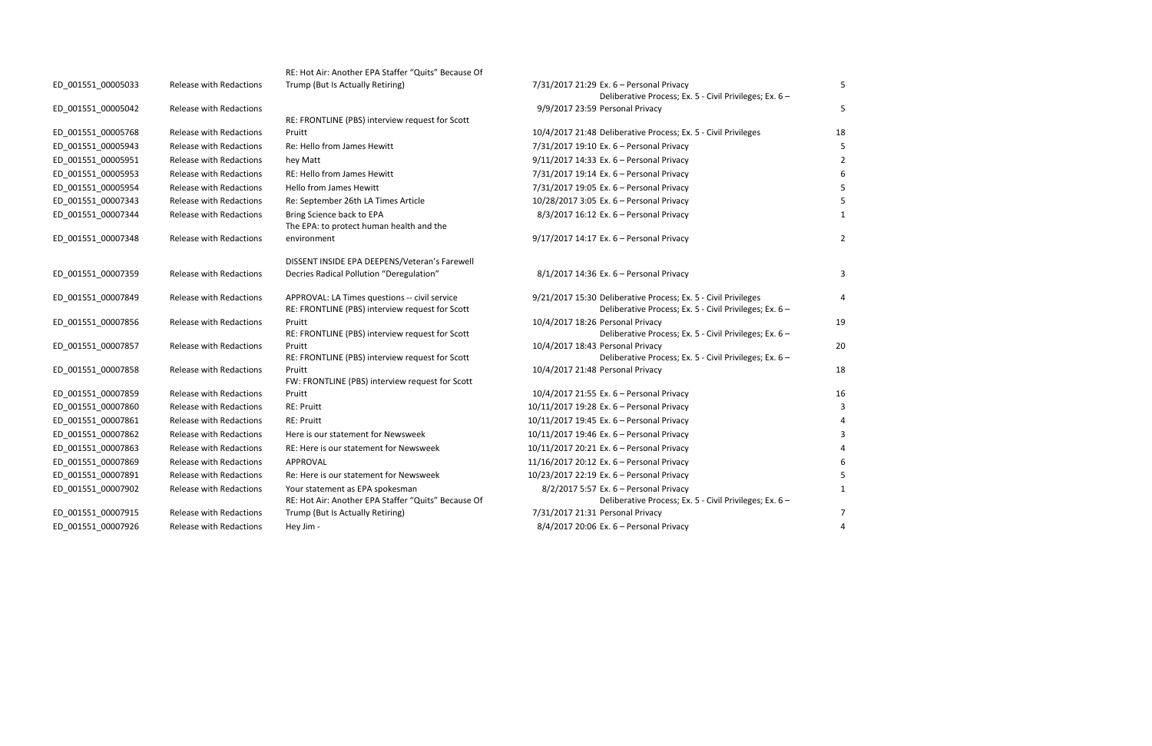|                    |                                | RE: Hot Air: Another EPA Staffer "Quits" Because Of                                    |                                                                                                   |    |
|--------------------|--------------------------------|----------------------------------------------------------------------------------------|---------------------------------------------------------------------------------------------------|----|
| ED_001551_00005033 | Release with Redactions        | Trump (But Is Actually Retiring)                                                       | 7/31/2017 21:29 Ex. 6 - Personal Privacy                                                          |    |
|                    |                                |                                                                                        | Deliberative Process; Ex. 5 - Civil Privileges; Ex. 6 -                                           |    |
| ED_001551_00005042 | Release with Redactions        |                                                                                        | 9/9/2017 23:59 Personal Privacy                                                                   |    |
|                    |                                | RE: FRONTLINE (PBS) interview request for Scott                                        |                                                                                                   |    |
| ED_001551_00005768 | Release with Redactions        | Pruitt                                                                                 | 10/4/2017 21:48 Deliberative Process; Ex. 5 - Civil Privileges                                    | 18 |
| ED_001551_00005943 | Release with Redactions        | Re: Hello from James Hewitt                                                            | 7/31/2017 19:10 Ex. 6 - Personal Privacy                                                          |    |
| ED_001551_00005951 | Release with Redactions        | hey Matt                                                                               | 9/11/2017 14:33 Ex. 6 - Personal Privacy                                                          |    |
| ED_001551_00005953 | <b>Release with Redactions</b> | RE: Hello from James Hewitt                                                            | 7/31/2017 19:14 Ex. 6 - Personal Privacy                                                          |    |
| ED 001551 00005954 | Release with Redactions        | <b>Hello from James Hewitt</b>                                                         | 7/31/2017 19:05 Ex. 6 - Personal Privacy                                                          |    |
| ED_001551_00007343 | Release with Redactions        | Re: September 26th LA Times Article                                                    | 10/28/2017 3:05 Ex. 6 - Personal Privacy                                                          |    |
| ED_001551_00007344 | Release with Redactions        | Bring Science back to EPA                                                              | 8/3/2017 16:12 Ex. 6 - Personal Privacy                                                           |    |
|                    |                                | The EPA: to protect human health and the                                               |                                                                                                   |    |
| ED_001551_00007348 | Release with Redactions        | environment                                                                            | 9/17/2017 14:17 Ex. 6 - Personal Privacy                                                          |    |
|                    |                                | DISSENT INSIDE EPA DEEPENS/Veteran's Farewell                                          |                                                                                                   |    |
| ED_001551_00007359 | Release with Redactions        | Decries Radical Pollution "Deregulation"                                               | 8/1/2017 14:36 Ex. 6 - Personal Privacy                                                           |    |
| ED_001551_00007849 | Release with Redactions        | APPROVAL: LA Times questions -- civil service                                          | 9/21/2017 15:30 Deliberative Process; Ex. 5 - Civil Privileges                                    |    |
|                    |                                | RE: FRONTLINE (PBS) interview request for Scott                                        | Deliberative Process; Ex. 5 - Civil Privileges; Ex. 6 -                                           |    |
| ED_001551_00007856 | Release with Redactions        | Pruitt                                                                                 | 10/4/2017 18:26 Personal Privacy                                                                  | 19 |
|                    |                                | RE: FRONTLINE (PBS) interview request for Scott                                        | Deliberative Process; Ex. 5 - Civil Privileges; Ex. 6 -                                           |    |
| ED_001551_00007857 | Release with Redactions        | Pruitt                                                                                 | 10/4/2017 18:43 Personal Privacy                                                                  | 20 |
|                    |                                | RE: FRONTLINE (PBS) interview request for Scott                                        | Deliberative Process; Ex. 5 - Civil Privileges; Ex. 6 -                                           |    |
| ED_001551_00007858 | Release with Redactions        | Pruitt<br>FW: FRONTLINE (PBS) interview request for Scott                              | 10/4/2017 21:48 Personal Privacy                                                                  | 18 |
| ED 001551 00007859 | Release with Redactions        | Pruitt                                                                                 | 10/4/2017 21:55 Ex. 6 - Personal Privacy                                                          | 16 |
| ED_001551_00007860 | Release with Redactions        | <b>RE: Pruitt</b>                                                                      | 10/11/2017 19:28 Ex. 6 - Personal Privacy                                                         |    |
| ED_001551_00007861 | Release with Redactions        | <b>RE: Pruitt</b>                                                                      | 10/11/2017 19:45 Ex. 6 - Personal Privacy                                                         |    |
| ED_001551_00007862 | Release with Redactions        | Here is our statement for Newsweek                                                     | 10/11/2017 19:46 Ex. 6 - Personal Privacy                                                         |    |
| ED_001551_00007863 | Release with Redactions        | RE: Here is our statement for Newsweek                                                 | 10/11/2017 20:21 Ex. 6 - Personal Privacy                                                         |    |
| ED_001551_00007869 | Release with Redactions        | APPROVAL                                                                               | 11/16/2017 20:12 Ex. 6 - Personal Privacy                                                         |    |
|                    | Release with Redactions        | Re: Here is our statement for Newsweek                                                 | 10/23/2017 22:19 Ex. 6 - Personal Privacy                                                         |    |
| ED_001551_00007891 |                                |                                                                                        |                                                                                                   |    |
| ED_001551_00007902 | Release with Redactions        | Your statement as EPA spokesman<br>RE: Hot Air: Another EPA Staffer "Quits" Because Of | 8/2/2017 5:57 Ex. 6 - Personal Privacy<br>Deliberative Process; Ex. 5 - Civil Privileges; Ex. 6 - |    |
| ED_001551_00007915 | <b>Release with Redactions</b> | Trump (But Is Actually Retiring)                                                       | 7/31/2017 21:31 Personal Privacy                                                                  |    |
| ED 001551 00007926 | <b>Release with Redactions</b> | Hey Jim -                                                                              | 8/4/2017 20:06 Ex. 6 - Personal Privacy                                                           |    |
|                    |                                |                                                                                        |                                                                                                   |    |